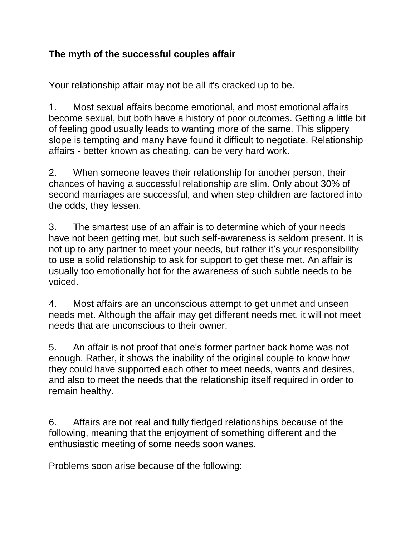## **The myth of the successful couples affair**

Your relationship affair may not be all it's cracked up to be.

1. Most sexual affairs become emotional, and most emotional affairs become sexual, but both have a history of poor outcomes. Getting a little bit of feeling good usually leads to wanting more of the same. This slippery slope is tempting and many have found it difficult to negotiate. Relationship affairs - better known as cheating, can be very hard work.

2. When someone leaves their relationship for another person, their chances of having a successful relationship are slim. Only about 30% of second marriages are successful, and when step-children are factored into the odds, they lessen.

3. The smartest use of an affair is to determine which of your needs have not been getting met, but such self-awareness is seldom present. It is not up to any partner to meet your needs, but rather it's your responsibility to use a solid relationship to ask for support to get these met. An affair is usually too emotionally hot for the awareness of such subtle needs to be voiced.

4. Most affairs are an unconscious attempt to get unmet and unseen needs met. Although the affair may get different needs met, it will not meet needs that are unconscious to their owner.

5. An affair is not proof that one's former partner back home was not enough. Rather, it shows the inability of the original couple to know how they could have supported each other to meet needs, wants and desires, and also to meet the needs that the relationship itself required in order to remain healthy.

6. Affairs are not real and fully fledged relationships because of the following, meaning that the enjoyment of something different and the enthusiastic meeting of some needs soon wanes.

Problems soon arise because of the following: